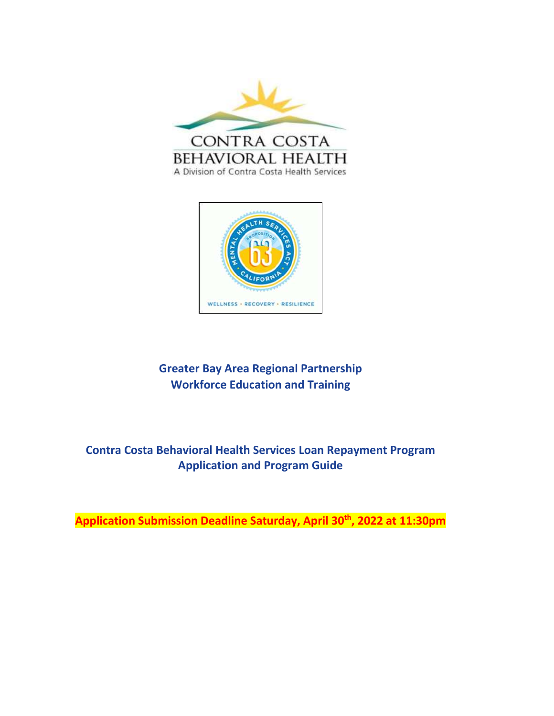



# **Greater Bay Area Regional Partnership Workforce Education and Training**

# **Contra Costa Behavioral Health Services Loan Repayment Program Application and Program Guide**

**Application Submission Deadline Saturday, April 30th, 2022 at 11:30pm**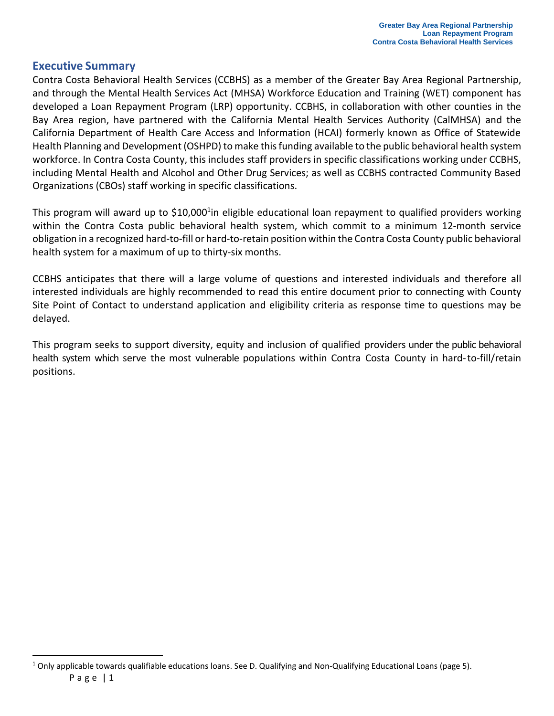### <span id="page-1-0"></span>**Executive Summary**

Contra Costa Behavioral Health Services (CCBHS) as a member of the Greater Bay Area Regional Partnership, and through the Mental Health Services Act (MHSA) Workforce Education and Training (WET) component has developed a Loan Repayment Program (LRP) opportunity. CCBHS, in collaboration with other counties in the Bay Area region, have partnered with the California Mental Health Services Authority (CalMHSA) and the California Department of Health Care Access and Information (HCAI) formerly known as Office of Statewide Health Planning and Development (OSHPD) to make this funding available to the public behavioral health system workforce. In Contra Costa County, this includes staff providers in specific classifications working under CCBHS, including Mental Health and Alcohol and Other Drug Services; as well as CCBHS contracted Community Based Organizations (CBOs) staff working in specific classifications.

This program will award up to \$10,000<sup>1</sup>in eligible educational loan repayment to qualified providers working within the Contra Costa public behavioral health system, which commit to a minimum 12-month service obligation in a recognized hard-to-fill or hard-to-retain position within the Contra Costa County public behavioral health system for a maximum of up to thirty-six months.

CCBHS anticipates that there will a large volume of questions and interested individuals and therefore all interested individuals are highly recommended to read this entire document prior to connecting with County Site Point of Contact to understand application and eligibility criteria as response time to questions may be delayed.

This program seeks to support diversity, equity and inclusion of qualified providers under the public behavioral health system which serve the most vulnerable populations within Contra Costa County in hard-to-fill/retain positions.

Page  $|1$  $1$  Only applicable towards qualifiable educations loans. See D. Qualifying and Non-Qualifying Educational Loans (page 5).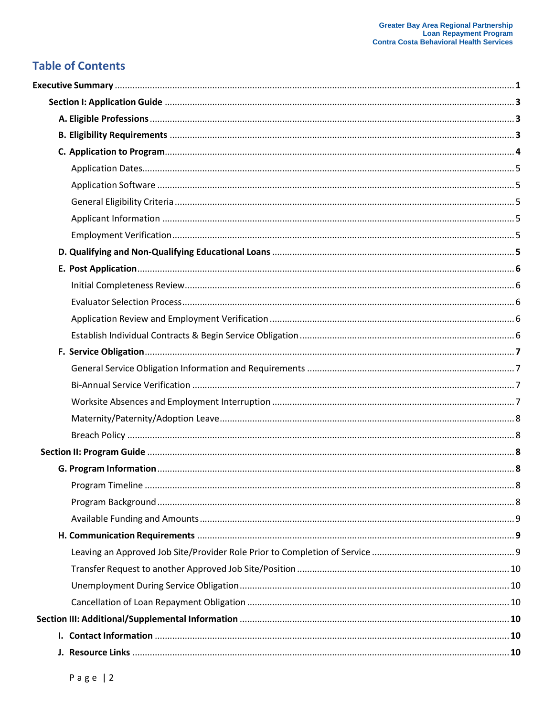# **Table of Contents**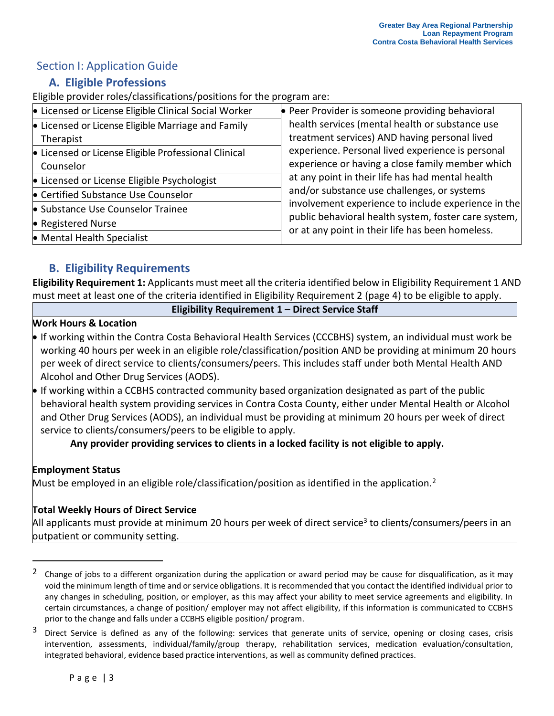## <span id="page-3-1"></span><span id="page-3-0"></span>Section I: Application Guide

## **A. Eligible Professions**

Eligible provider roles/classifications/positions for the program are:

| • Licensed or License Eligible Clinical Social Worker | • Peer Provider is someone providing behavioral                                                          |  |
|-------------------------------------------------------|----------------------------------------------------------------------------------------------------------|--|
| • Licensed or License Eligible Marriage and Family    | health services (mental health or substance use                                                          |  |
| Therapist                                             | treatment services) AND having personal lived                                                            |  |
| • Licensed or License Eligible Professional Clinical  | experience. Personal lived experience is personal                                                        |  |
| Counselor                                             | experience or having a close family member which                                                         |  |
| • Licensed or License Eligible Psychologist           | at any point in their life has had mental health                                                         |  |
| • Certified Substance Use Counselor                   | and/or substance use challenges, or systems                                                              |  |
| • Substance Use Counselor Trainee                     | involvement experience to include experience in the                                                      |  |
| • Registered Nurse                                    | public behavioral health system, foster care system,<br>or at any point in their life has been homeless. |  |
| • Mental Health Specialist                            |                                                                                                          |  |

## **B. Eligibility Requirements**

**Eligibility Requirement 1:** Applicants must meet all the criteria identified below in Eligibility Requirement 1 AND must meet at least one of the criteria identified in Eligibility Requirement 2 (page 4) to be eligible to apply.

**Eligibility Requirement 1 – Direct Service Staff**

#### **Work Hours & Location**

- If working within the Contra Costa Behavioral Health Services (CCCBHS) system, an individual must work be working 40 hours per week in an eligible role/classification/position AND be providing at minimum 20 hours per week of direct service to clients/consumers/peers. This includes staff under both Mental Health AND Alcohol and Other Drug Services (AODS).
- If working within a CCBHS contracted community based organization designated as part of the public behavioral health system providing services in Contra Costa County, either under Mental Health or Alcohol and Other Drug Services (AODS), an individual must be providing at minimum 20 hours per week of direct service to clients/consumers/peers to be eligible to apply.

**Any provider providing services to clients in a locked facility is not eligible to apply.**

### **Employment Status**

Must be employed in an eligible role/classification/position as identified in the application.<sup>2</sup>

### **Total Weekly Hours of Direct Service**

All applicants must provide at minimum 20 hours per week of direct service<sup>3</sup> to clients/consumers/peers in an butpatient or community setting.

<sup>&</sup>lt;sup>2</sup> Change of jobs to a different organization during the application or award period may be cause for disqualification, as it may void the minimum length of time and or service obligations. It is recommended that you contact the identified individual prior to any changes in scheduling, position, or employer, as this may affect your ability to meet service agreements and eligibility. In certain circumstances, a change of position/ employer may not affect eligibility, if this information is communicated to CCBHS prior to the change and falls under a CCBHS eligible position/ program.

<sup>&</sup>lt;sup>3</sup> Direct Service is defined as any of the following: services that generate units of service, opening or closing cases, crisis intervention, assessments, individual/family/group therapy, rehabilitation services, medication evaluation/consultation, integrated behavioral, evidence based practice interventions, as well as community defined practices.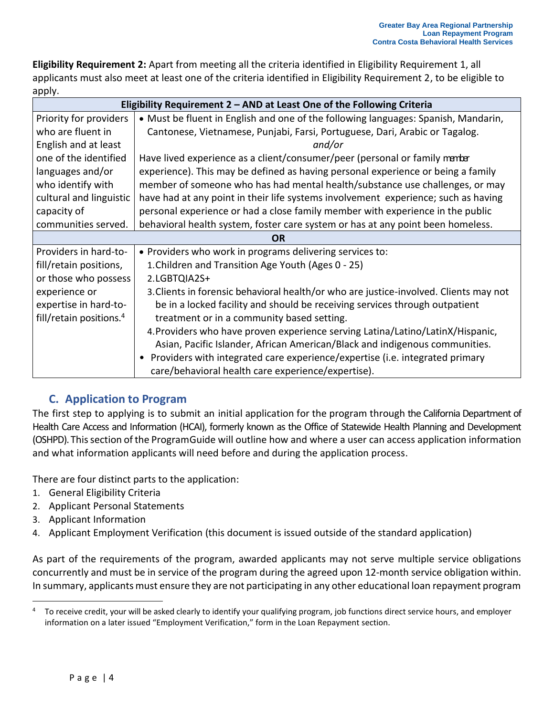**Eligibility Requirement 2:** Apart from meeting all the criteria identified in Eligibility Requirement 1, all applicants must also meet at least one of the criteria identified in Eligibility Requirement 2, to be eligible to apply.

| Eligibility Requirement 2 - AND at Least One of the Following Criteria |                                                                                       |  |
|------------------------------------------------------------------------|---------------------------------------------------------------------------------------|--|
| Priority for providers                                                 | • Must be fluent in English and one of the following languages: Spanish, Mandarin,    |  |
| who are fluent in                                                      | Cantonese, Vietnamese, Punjabi, Farsi, Portuguese, Dari, Arabic or Tagalog.           |  |
| English and at least                                                   | and/or                                                                                |  |
| one of the identified                                                  | Have lived experience as a client/consumer/peer (personal or family member            |  |
| languages and/or                                                       | experience). This may be defined as having personal experience or being a family      |  |
| who identify with                                                      | member of someone who has had mental health/substance use challenges, or may          |  |
| cultural and linguistic                                                | have had at any point in their life systems involvement experience; such as having    |  |
| capacity of                                                            | personal experience or had a close family member with experience in the public        |  |
| communities served.                                                    | behavioral health system, foster care system or has at any point been homeless.       |  |
| <b>OR</b>                                                              |                                                                                       |  |
| Providers in hard-to-                                                  | • Providers who work in programs delivering services to:                              |  |
| fill/retain positions,                                                 | 1. Children and Transition Age Youth (Ages 0 - 25)                                    |  |
| or those who possess                                                   | 2.LGBTQIA2S+                                                                          |  |
| experience or                                                          | 3. Clients in forensic behavioral health/or who are justice-involved. Clients may not |  |
| expertise in hard-to-                                                  | be in a locked facility and should be receiving services through outpatient           |  |
| fill/retain positions. <sup>4</sup>                                    | treatment or in a community based setting.                                            |  |
|                                                                        | 4. Providers who have proven experience serving Latina/Latino/LatinX/Hispanic,        |  |
|                                                                        | Asian, Pacific Islander, African American/Black and indigenous communities.           |  |
|                                                                        | • Providers with integrated care experience/expertise (i.e. integrated primary        |  |
|                                                                        | care/behavioral health care experience/expertise).                                    |  |

## **C. Application to Program**

<span id="page-4-0"></span>The first step to applying is to submit an initial application for the program through the California Department of Health Care Access and Information (HCAI), formerly known as the Office of Statewide Health Planning and Development (OSHPD). Thissection ofthe ProgramGuide will outline how and where a user can access application information and what information applicants will need before and during the application process.

There are four distinct parts to the application:

- 1. General Eligibility Criteria
- 2. Applicant Personal Statements
- 3. Applicant Information
- 4. Applicant Employment Verification (this document is issued outside of the standard application)

As part of the requirements of the program, awarded applicants may not serve multiple service obligations concurrently and must be in service of the program during the agreed upon 12-month service obligation within. In summary, applicants must ensure they are not participating in any other educational loan repayment program

<sup>&</sup>lt;sup>4</sup> To receive credit, your will be asked clearly to identify your qualifying program, job functions direct service hours, and employer information on a later issued "Employment Verification," form in the Loan Repayment section.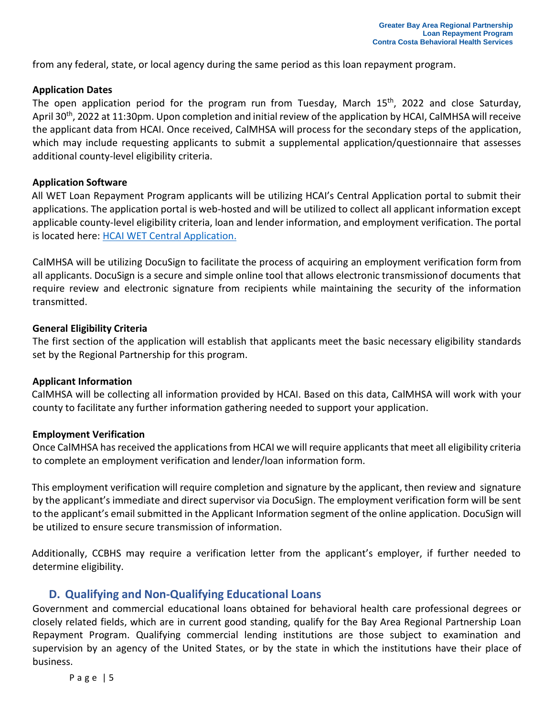from any federal, state, or local agency during the same period as this loan repayment program.

#### <span id="page-5-0"></span>**Application Dates**

The open application period for the program run from Tuesday, March 15<sup>th</sup>, 2022 and close Saturday, April 30<sup>th</sup>, 2022 at 11:30pm. Upon completion and initial review of the application by HCAI, CalMHSA will receive the applicant data from HCAI. Once received, CalMHSA will process for the secondary steps of the application, which may include requesting applicants to submit a supplemental application/questionnaire that assesses additional county-level eligibility criteria.

#### <span id="page-5-1"></span>**Application Software**

All WET Loan Repayment Program applicants will be utilizing HCAI's Central Application portal to submit their applications. The application portal is web-hosted and will be utilized to collect all applicant information except applicable county-level eligibility criteria, loan and lender information, and employment verification. The portal is located here: [HCAI WET Central Application.](https://oshpd.sjc1.qualtrics.com/jfe/form/SV_8Jt1BS52a39kCdn)

CalMHSA will be utilizing DocuSign to facilitate the process of acquiring an employment verification form from all applicants. DocuSign is a secure and simple online tool that allows electronic transmissionof documents that require review and electronic signature from recipients while maintaining the security of the information transmitted.

#### <span id="page-5-2"></span>**General Eligibility Criteria**

The first section of the application will establish that applicants meet the basic necessary eligibility standards set by the Regional Partnership for this program.

#### <span id="page-5-3"></span>**Applicant Information**

CalMHSA will be collecting all information provided by HCAI. Based on this data, CalMHSA will work with your county to facilitate any further information gathering needed to support your application.

#### <span id="page-5-4"></span>**Employment Verification**

Once CalMHSA has received the applications from HCAI we will require applicants that meet all eligibility criteria to complete an employment verification and lender/loan information form.

This employment verification will require completion and signature by the applicant, then review and signature by the applicant's immediate and direct supervisor via DocuSign. The employment verification form will be sent to the applicant's email submitted in the Applicant Information segment of the online application. DocuSign will be utilized to ensure secure transmission of information.

Additionally, CCBHS may require a verification letter from the applicant's employer, if further needed to determine eligibility.

#### **D. Qualifying and Non-Qualifying Educational Loans**

<span id="page-5-5"></span>Government and commercial educational loans obtained for behavioral health care professional degrees or closely related fields, which are in current good standing, qualify for the Bay Area Regional Partnership Loan Repayment Program. Qualifying commercial lending institutions are those subject to examination and supervision by an agency of the United States, or by the state in which the institutions have their place of business.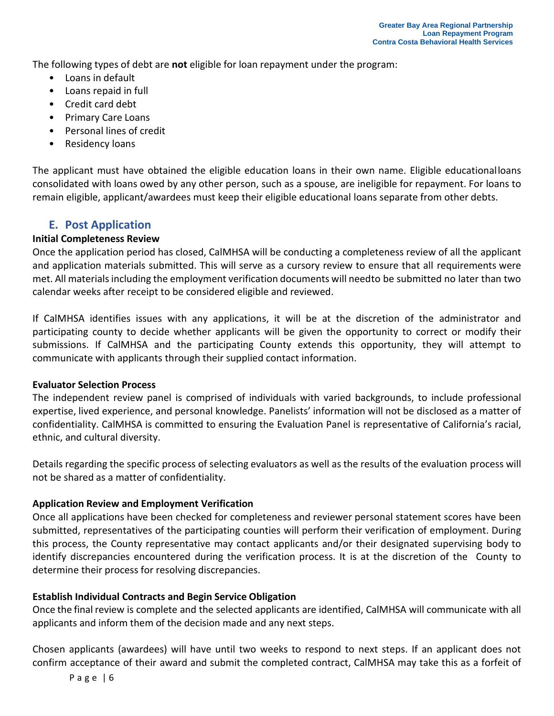The following types of debt are **not** eligible for loan repayment under the program:

- Loans in default
- Loans repaid in full
- Credit card debt
- Primary Care Loans
- Personal lines of credit
- Residency loans

The applicant must have obtained the eligible education loans in their own name. Eligible educationalloans consolidated with loans owed by any other person, such as a spouse, are ineligible for repayment. For loans to remain eligible, applicant/awardees must keep their eligible educational loans separate from other debts.

## <span id="page-6-0"></span>**E. Post Application**

### <span id="page-6-1"></span>**Initial Completeness Review**

Once the application period has closed, CalMHSA will be conducting a completeness review of all the applicant and application materials submitted. This will serve as a cursory review to ensure that all requirements were met. All materials including the employment verification documents will needto be submitted no later than two calendar weeks after receipt to be considered eligible and reviewed.

If CalMHSA identifies issues with any applications, it will be at the discretion of the administrator and participating county to decide whether applicants will be given the opportunity to correct or modify their submissions. If CalMHSA and the participating County extends this opportunity, they will attempt to communicate with applicants through their supplied contact information.

#### <span id="page-6-2"></span>**Evaluator Selection Process**

The independent review panel is comprised of individuals with varied backgrounds, to include professional expertise, lived experience, and personal knowledge. Panelists' information will not be disclosed as a matter of confidentiality. CalMHSA is committed to ensuring the Evaluation Panel is representative of California's racial, ethnic, and cultural diversity.

Details regarding the specific process of selecting evaluators as well as the results of the evaluation process will not be shared as a matter of confidentiality.

#### <span id="page-6-3"></span>**Application Review and Employment Verification**

Once all applications have been checked for completeness and reviewer personal statement scores have been submitted, representatives of the participating counties will perform their verification of employment. During this process, the County representative may contact applicants and/or their designated supervising body to identify discrepancies encountered during the verification process. It is at the discretion of the County to determine their process for resolving discrepancies.

#### <span id="page-6-4"></span>**Establish Individual Contracts and Begin Service Obligation**

Once the final review is complete and the selected applicants are identified, CalMHSA will communicate with all applicants and inform them of the decision made and any next steps.

Chosen applicants (awardees) will have until two weeks to respond to next steps. If an applicant does not confirm acceptance of their award and submit the completed contract, CalMHSA may take this as a forfeit of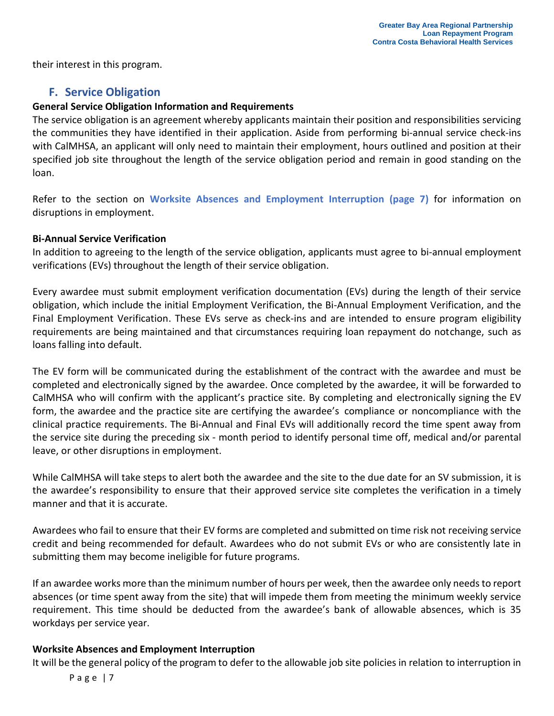their interest in this program.

## **F. Service Obligation**

#### <span id="page-7-1"></span><span id="page-7-0"></span>**General Service Obligation Information and Requirements**

The service obligation is an agreement whereby applicants maintain their position and responsibilities servicing the communities they have identified in their application. Aside from performing bi-annual service check-ins with CalMHSA, an applicant will only need to maintain their employment, hours outlined and position at their specified job site throughout the length of the service obligation period and remain in good standing on the loan.

Refer to the section on **Worksite Absences and Employment Interruption (page 7)** for information on disruptions in employment.

#### <span id="page-7-2"></span>**Bi-Annual Service Verification**

In addition to agreeing to the length of the service obligation, applicants must agree to bi-annual employment verifications (EVs) throughout the length of their service obligation.

Every awardee must submit employment verification documentation (EVs) during the length of their service obligation, which include the initial Employment Verification, the Bi-Annual Employment Verification, and the Final Employment Verification. These EVs serve as check-ins and are intended to ensure program eligibility requirements are being maintained and that circumstances requiring loan repayment do notchange, such as loans falling into default.

The EV form will be communicated during the establishment of the contract with the awardee and must be completed and electronically signed by the awardee. Once completed by the awardee, it will be forwarded to CalMHSA who will confirm with the applicant's practice site. By completing and electronically signing the EV form, the awardee and the practice site are certifying the awardee's compliance or noncompliance with the clinical practice requirements. The Bi-Annual and Final EVs will additionally record the time spent away from the service site during the preceding six - month period to identify personal time off, medical and/or parental leave, or other disruptions in employment.

While CalMHSA will take steps to alert both the awardee and the site to the due date for an SV submission, it is the awardee's responsibility to ensure that their approved service site completes the verification in a timely manner and that it is accurate.

Awardees who fail to ensure that their EV forms are completed and submitted on time risk not receiving service credit and being recommended for default. Awardees who do not submit EVs or who are consistently late in submitting them may become ineligible for future programs.

If an awardee works more than the minimum number of hours per week, then the awardee only needs to report absences (or time spent away from the site) that will impede them from meeting the minimum weekly service requirement. This time should be deducted from the awardee's bank of allowable absences, which is 35 workdays per service year.

#### <span id="page-7-3"></span>**Worksite Absences and Employment Interruption**

It will be the general policy of the program to defer to the allowable job site policies in relation to interruption in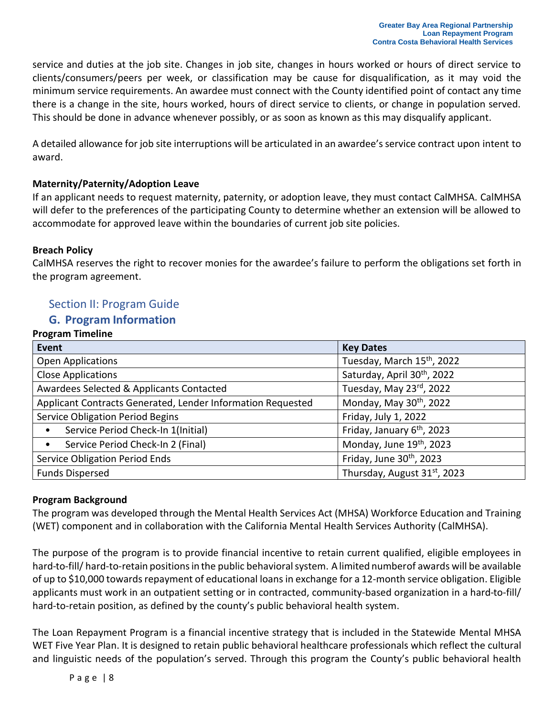service and duties at the job site. Changes in job site, changes in hours worked or hours of direct service to clients/consumers/peers per week, or classification may be cause for disqualification, as it may void the minimum service requirements. An awardee must connect with the County identified point of contact any time there is a change in the site, hours worked, hours of direct service to clients, or change in population served. This should be done in advance whenever possibly, or as soon as known as this may disqualify applicant.

A detailed allowance for job site interruptions will be articulated in an awardee's service contract upon intent to award.

### <span id="page-8-0"></span>**Maternity/Paternity/Adoption Leave**

If an applicant needs to request maternity, paternity, or adoption leave, they must contact CalMHSA. CalMHSA will defer to the preferences of the participating County to determine whether an extension will be allowed to accommodate for approved leave within the boundaries of current job site policies.

#### <span id="page-8-1"></span>**Breach Policy**

CalMHSA reserves the right to recover monies for the awardee's failure to perform the obligations set forth in the program agreement.

### <span id="page-8-2"></span>Section II: Program Guide

### **G. Program Information**

#### <span id="page-8-4"></span><span id="page-8-3"></span>**Program Timeline**

| <b>Event</b>                                                | <b>Key Dates</b>                       |
|-------------------------------------------------------------|----------------------------------------|
| <b>Open Applications</b>                                    | Tuesday, March 15th, 2022              |
| <b>Close Applications</b>                                   | Saturday, April 30th, 2022             |
| Awardees Selected & Applicants Contacted                    | Tuesday, May 23rd, 2022                |
| Applicant Contracts Generated, Lender Information Requested | Monday, May 30 <sup>th</sup> , 2022    |
| <b>Service Obligation Period Begins</b>                     | Friday, July 1, 2022                   |
| Service Period Check-In 1(Initial)<br>$\bullet$             | Friday, January 6 <sup>th</sup> , 2023 |
| Service Period Check-In 2 (Final)<br>$\bullet$              | Monday, June 19th, 2023                |
| <b>Service Obligation Period Ends</b>                       | Friday, June 30 <sup>th</sup> , 2023   |
| <b>Funds Dispersed</b>                                      | Thursday, August 31st, 2023            |

#### <span id="page-8-5"></span>**Program Background**

The program was developed through the Mental Health Services Act (MHSA) Workforce Education and Training (WET) component and in collaboration with the California Mental Health Services Authority (CalMHSA).

The purpose of the program is to provide financial incentive to retain current qualified, eligible employees in hard-to-fill/ hard-to-retain positions in the public behavioral system. A limited numberof awards will be available of up to \$10,000 towards repayment of educational loans in exchange for a 12-month service obligation. Eligible applicants must work in an outpatient setting or in contracted, community-based organization in a hard-to-fill/ hard-to-retain position, as defined by the county's public behavioral health system.

The Loan Repayment Program is a financial incentive strategy that is included in the Statewide Mental MHSA WET Five Year Plan. It is designed to retain public behavioral healthcare professionals which reflect the cultural and linguistic needs of the population's served. Through this program the County's public behavioral health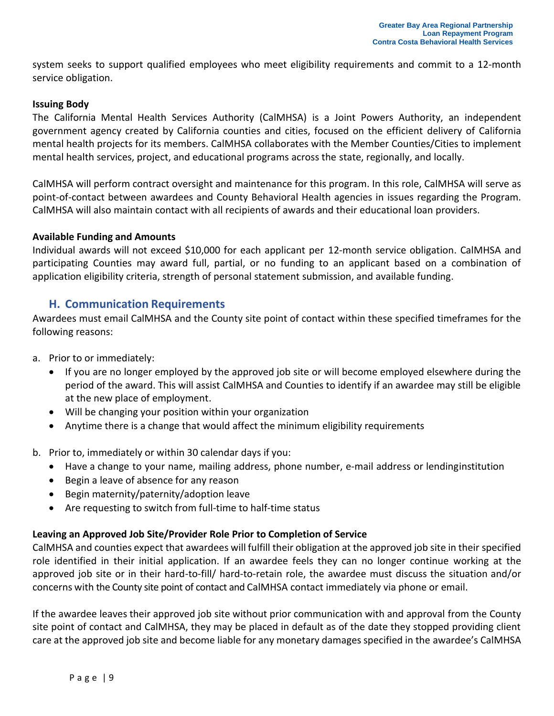system seeks to support qualified employees who meet eligibility requirements and commit to a 12-month service obligation.

#### **Issuing Body**

The California Mental Health Services Authority (CalMHSA) is a Joint Powers Authority, an independent government agency created by California counties and cities, focused on the efficient delivery of California mental health projects for its members. CalMHSA collaborates with the Member Counties/Cities to implement mental health services, project, and educational programs across the state, regionally, and locally.

CalMHSA will perform contract oversight and maintenance for this program. In this role, CalMHSA will serve as point-of-contact between awardees and County Behavioral Health agencies in issues regarding the Program. CalMHSA will also maintain contact with all recipients of awards and their educational loan providers.

#### <span id="page-9-0"></span>**Available Funding and Amounts**

Individual awards will not exceed \$10,000 for each applicant per 12-month service obligation. CalMHSA and participating Counties may award full, partial, or no funding to an applicant based on a combination of application eligibility criteria, strength of personal statement submission, and available funding.

### **H. Communication Requirements**

<span id="page-9-1"></span>Awardees must email CalMHSA and the County site point of contact within these specified timeframes for the following reasons:

- a. Prior to or immediately:
	- If you are no longer employed by the approved job site or will become employed elsewhere during the period of the award. This will assist CalMHSA and Counties to identify if an awardee may still be eligible at the new place of employment.
	- Will be changing your position within your organization
	- Anytime there is a change that would affect the minimum eligibility requirements

#### b. Prior to, immediately or within 30 calendar days if you:

- Have a change to your name, mailing address, phone number, e-mail address or lendinginstitution
- Begin a leave of absence for any reason
- Begin maternity/paternity/adoption leave
- Are requesting to switch from full-time to half-time status

#### <span id="page-9-2"></span>**Leaving an Approved Job Site/Provider Role Prior to Completion of Service**

CalMHSA and counties expect that awardees will fulfill their obligation at the approved job site in their specified role identified in their initial application. If an awardee feels they can no longer continue working at the approved job site or in their hard-to-fill/ hard-to-retain role, the awardee must discuss the situation and/or concerns with the County site point of contact and CalMHSA contact immediately via phone or email.

If the awardee leaves their approved job site without prior communication with and approval from the County site point of contact and CalMHSA, they may be placed in default as of the date they stopped providing client care at the approved job site and become liable for any monetary damages specified in the awardee's CalMHSA